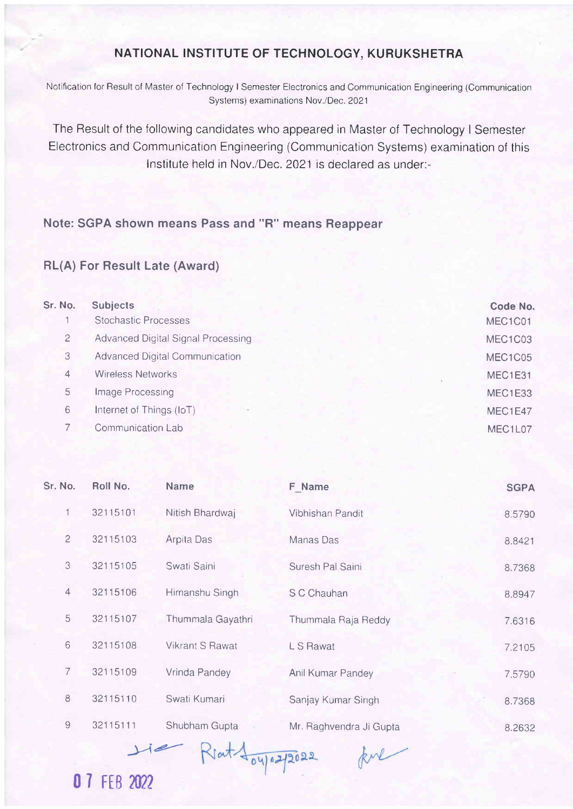## NATIONAL INSTITUTE OF TECHNOLOGY, KURUKSHETRA

Notification for Result of Master of Technology I Semester Electronics and Communication Engineering (Communication Systems) examinations Nov./Dec. 2021

The Result of the following candidates who appeared in Master of Technology I Semester Electronics and Communication Engineering (Communication Systems) examination of this lnstitute held in Nov./Dec. 2021 is declared as under:-

## Note: SGPA shown means Pass and "R" means Reappear

## RL(A) For Result Late (Award)

| Sr. No. | <b>Subjects</b>                       | Code No. |
|---------|---------------------------------------|----------|
|         | Stochastic Processes                  | MEC1C01  |
| 2       | Advanced Digital Signal Processing    | MEC1C03  |
| 3       | <b>Advanced Digital Communication</b> | MEC1C05  |
| 4       | <b>Wireless Networks</b>              | MEC1E31  |
| 5       | Image Processing                      | MEC1E33  |
| 6       | Internet of Things (IoT)              | MEC1E47  |
|         | Communication Lab                     | MEC1L07  |
|         |                                       |          |

| Sr. No.        | Roll No. | <b>Name</b>            | F Name                  | <b>SGPA</b> |
|----------------|----------|------------------------|-------------------------|-------------|
| 1              | 32115101 | Nitish Bhardwaj        | Vibhishan Pandit        | 8.5790      |
| $\overline{c}$ | 32115103 | Arpita Das             | Manas Das               | 8.8421      |
| 3              | 32115105 | Swati Saini            | Suresh Pal Saini        | 8.7368      |
| $\overline{4}$ | 32115106 | Himanshu Singh         | S C Chauhan             | 8.8947      |
| 5              | 32115107 | Thummala Gayathri      | Thummala Raja Reddy     | 7.6316      |
| 6              | 32115108 | <b>Vikrant S Rawat</b> | L S Rawat               | 7.2105      |
| 7              | 32115109 | Vrinda Pandey          | Anil Kumar Pandey       | 7.5790      |
| 8              | 32115110 | Swati Kumari           | Sanjay Kumar Singh      | 8.7368      |
| $\mathbf 9$    | 32115111 | Shubham Gupta          | Mr. Raghvendra Ji Gupta | 8.2632      |

kul

**07 FEB 2022** 

 $\perp$ ie